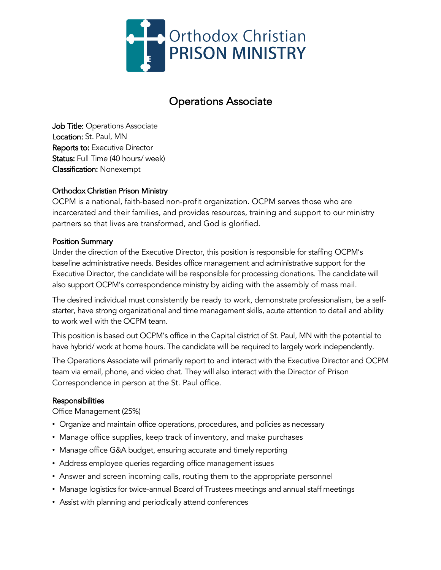

# Operations Associate

Job Title: Operations Associate Location: St. Paul, MN Reports to: Executive Director Status: Full Time (40 hours/ week) Classification: Nonexempt

## Orthodox Christian Prison Ministry

OCPM is a national, faith-based non-profit organization. OCPM serves those who are incarcerated and their families, and provides resources, training and support to our ministry partners so that lives are transformed, and God is glorified.

#### Position Summary

Under the direction of the Executive Director, this position is responsible for staffing OCPM's baseline administrative needs. Besides office management and administrative support for the Executive Director, the candidate will be responsible for processing donations. The candidate will also support OCPM's correspondence ministry by aiding with the assembly of mass mail.

The desired individual must consistently be ready to work, demonstrate professionalism, be a selfstarter, have strong organizational and time management skills, acute attention to detail and ability to work well with the OCPM team.

This position is based out OCPM's office in the Capital district of St. Paul, MN with the potential to have hybrid/ work at home hours. The candidate will be required to largely work independently.

The Operations Associate will primarily report to and interact with the Executive Director and OCPM team via email, phone, and video chat. They will also interact with the Director of Prison Correspondence in person at the St. Paul office.

#### Responsibilities

Office Management (25%)

- ! Organize and maintain office operations, procedures, and policies as necessary
- Manage office supplies, keep track of inventory, and make purchases
- Manage office G&A budget, ensuring accurate and timely reporting
- ! Address employee queries regarding office management issues
- ! Answer and screen incoming calls, routing them to the appropriate personnel
- ! Manage logistics for twice-annual Board of Trustees meetings and annual staff meetings
- Assist with planning and periodically attend conferences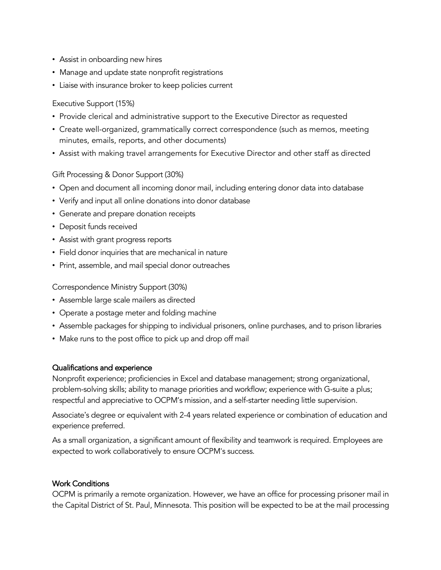- Assist in onboarding new hires
- Manage and update state nonprofit registrations
- ! Liaise with insurance broker to keep policies current

## Executive Support (15%)

- ! Provide clerical and administrative support to the Executive Director as requested
- ! Create well-organized, grammatically correct correspondence (such as memos, meeting minutes, emails, reports, and other documents)
- ! Assist with making travel arrangements for Executive Director and other staff as directed

## Gift Processing & Donor Support (30%)

- ! Open and document all incoming donor mail, including entering donor data into database
- Verify and input all online donations into donor database
- ! Generate and prepare donation receipts
- Deposit funds received
- Assist with grant progress reports
- ! Field donor inquiries that are mechanical in nature
- ! Print, assemble, and mail special donor outreaches

Correspondence Ministry Support (30%)

- Assemble large scale mailers as directed
- Operate a postage meter and folding machine
- ! Assemble packages for shipping to individual prisoners, online purchases, and to prison libraries
- Make runs to the post office to pick up and drop off mail

#### Qualifications and experience

Nonprofit experience; proficiencies in Excel and database management; strong organizational, problem-solving skills; ability to manage priorities and workflow; experience with G-suite a plus; respectful and appreciative to OCPM's mission, and a self-starter needing little supervision.

Associate's degree or equivalent with 2-4 years related experience or combination of education and experience preferred.

As a small organization, a significant amount of flexibility and teamwork is required. Employees are expected to work collaboratively to ensure OCPM's success.

## Work Conditions

OCPM is primarily a remote organization. However, we have an office for processing prisoner mail in the Capital District of St. Paul, Minnesota. This position will be expected to be at the mail processing